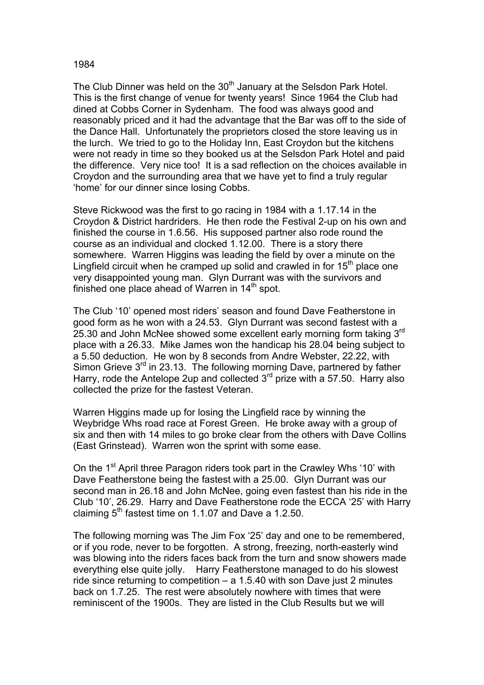## 1984

The Club Dinner was held on the 30<sup>th</sup> January at the Selsdon Park Hotel. This is the first change of venue for twenty years! Since 1964 the Club had dined at Cobbs Corner in Sydenham. The food was always good and reasonably priced and it had the advantage that the Bar was off to the side of the Dance Hall. Unfortunately the proprietors closed the store leaving us in the lurch. We tried to go to the Holiday Inn, East Croydon but the kitchens were not ready in time so they booked us at the Selsdon Park Hotel and paid the difference. Very nice too! It is a sad reflection on the choices available in Croydon and the surrounding area that we have yet to find a truly regular 'home' for our dinner since losing Cobbs.

Steve Rickwood was the first to go racing in 1984 with a 1.17.14 in the Croydon & District hardriders. He then rode the Festival 2-up on his own and finished the course in 1.6.56. His supposed partner also rode round the course as an individual and clocked 1.12.00. There is a story there somewhere. Warren Higgins was leading the field by over a minute on the Lingfield circuit when he cramped up solid and crawled in for  $15<sup>th</sup>$  place one very disappointed young man. Glyn Durrant was with the survivors and finished one place ahead of Warren in  $14<sup>th</sup>$  spot.

The Club '10' opened most riders' season and found Dave Featherstone in good form as he won with a 24.53. Glyn Durrant was second fastest with a 25.30 and John McNee showed some excellent early morning form taking 3<sup>rd</sup> place with a 26.33. Mike James won the handicap his 28.04 being subject to a 5.50 deduction. He won by 8 seconds from Andre Webster, 22.22, with Simon Grieve 3<sup>rd</sup> in 23.13. The following morning Dave, partnered by father Harry, rode the Antelope 2up and collected  $3<sup>rd</sup>$  prize with a 57.50. Harry also collected the prize for the fastest Veteran.

Warren Higgins made up for losing the Lingfield race by winning the Weybridge Whs road race at Forest Green. He broke away with a group of six and then with 14 miles to go broke clear from the others with Dave Collins (East Grinstead). Warren won the sprint with some ease.

On the 1<sup>st</sup> April three Paragon riders took part in the Crawley Whs '10' with Dave Featherstone being the fastest with a 25.00. Glyn Durrant was our second man in 26.18 and John McNee, going even fastest than his ride in the Club '10', 26.29. Harry and Dave Featherstone rode the ECCA '25' with Harry claiming  $5<sup>th</sup>$  fastest time on 1.1.07 and Dave a 1.2.50.

The following morning was The Jim Fox '25' day and one to be remembered, or if you rode, never to be forgotten. A strong, freezing, north-easterly wind was blowing into the riders faces back from the turn and snow showers made everything else quite jolly. Harry Featherstone managed to do his slowest ride since returning to competition – a 1.5.40 with son Dave just 2 minutes back on 1.7.25. The rest were absolutely nowhere with times that were reminiscent of the 1900s. They are listed in the Club Results but we will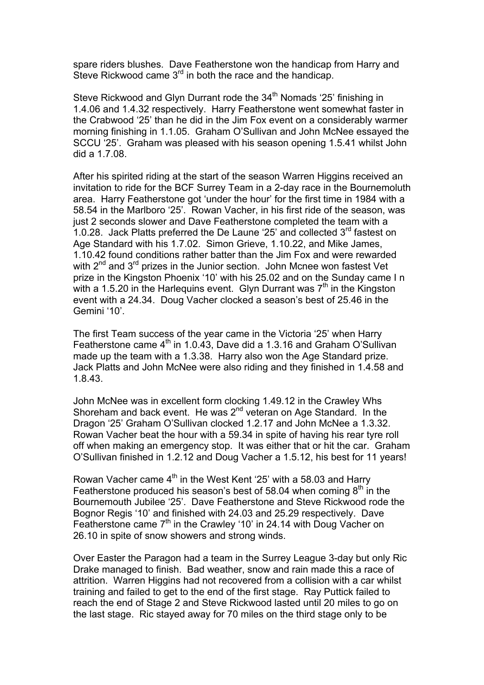spare riders blushes. Dave Featherstone won the handicap from Harry and Steve Rickwood came  $3<sup>rd</sup>$  in both the race and the handicap.

Steve Rickwood and Glyn Durrant rode the  $34<sup>th</sup>$  Nomads '25' finishing in 1.4.06 and 1.4.32 respectively. Harry Featherstone went somewhat faster in the Crabwood '25' than he did in the Jim Fox event on a considerably warmer morning finishing in 1.1.05. Graham O'Sullivan and John McNee essayed the SCCU '25'. Graham was pleased with his season opening 1.5.41 whilst John did a 1.7.08.

After his spirited riding at the start of the season Warren Higgins received an invitation to ride for the BCF Surrey Team in a 2-day race in the Bournemoluth area. Harry Featherstone got 'under the hour' for the first time in 1984 with a 58.54 in the Marlboro '25'. Rowan Vacher, in his first ride of the season, was just 2 seconds slower and Dave Featherstone completed the team with a 1.0.28. Jack Platts preferred the De Laune '25' and collected  $3<sup>rd</sup>$  fastest on Age Standard with his 1.7.02. Simon Grieve, 1.10.22, and Mike James, 1.10.42 found conditions rather batter than the Jim Fox and were rewarded with  $2^{nd}$  and  $3^{rd}$  prizes in the Junior section. John Mcnee won fastest Vet prize in the Kingston Phoenix '10' with his 25.02 and on the Sunday came I n with a 1.5.20 in the Harlequins event. Glyn Durrant was  $7<sup>th</sup>$  in the Kingston event with a 24.34. Doug Vacher clocked a season's best of 25.46 in the Gemini '10'.

The first Team success of the year came in the Victoria '25' when Harry Featherstone came  $4<sup>th</sup>$  in 1.0.43, Dave did a 1.3.16 and Graham O'Sullivan made up the team with a 1.3.38. Harry also won the Age Standard prize. Jack Platts and John McNee were also riding and they finished in 1.4.58 and 1.8.43.

John McNee was in excellent form clocking 1.49.12 in the Crawley Whs Shoreham and back event. He was  $2^{nd}$  veteran on Age Standard. In the Dragon '25' Graham O'Sullivan clocked 1.2.17 and John McNee a 1.3.32. Rowan Vacher beat the hour with a 59.34 in spite of having his rear tyre roll off when making an emergency stop. It was either that or hit the car. Graham O'Sullivan finished in 1.2.12 and Doug Vacher a 1.5.12, his best for 11 years!

Rowan Vacher came 4<sup>th</sup> in the West Kent '25' with a 58.03 and Harry Featherstone produced his season's best of 58.04 when coming  $8<sup>th</sup>$  in the Bournemouth Jubilee '25'. Dave Featherstone and Steve Rickwood rode the Bognor Regis '10' and finished with 24.03 and 25.29 respectively. Dave Featherstone came 7<sup>th</sup> in the Crawley '10' in 24.14 with Doug Vacher on 26.10 in spite of snow showers and strong winds.

Over Easter the Paragon had a team in the Surrey League 3-day but only Ric Drake managed to finish. Bad weather, snow and rain made this a race of attrition. Warren Higgins had not recovered from a collision with a car whilst training and failed to get to the end of the first stage. Ray Puttick failed to reach the end of Stage 2 and Steve Rickwood lasted until 20 miles to go on the last stage. Ric stayed away for 70 miles on the third stage only to be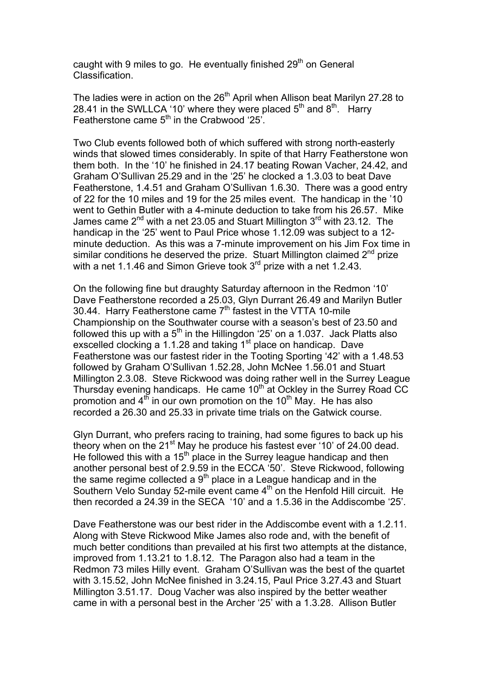caught with 9 miles to go. He eventually finished  $29<sup>th</sup>$  on General Classification.

The ladies were in action on the 26<sup>th</sup> April when Allison beat Marilyn 27.28 to 28.41 in the SWLLCA '10' where they were placed  $5<sup>th</sup>$  and  $8<sup>th</sup>$ . Harry Featherstone came 5<sup>th</sup> in the Crabwood '25'.

Two Club events followed both of which suffered with strong north-easterly winds that slowed times considerably. In spite of that Harry Featherstone won them both. In the '10' he finished in 24.17 beating Rowan Vacher, 24.42, and Graham O'Sullivan 25.29 and in the '25' he clocked a 1.3.03 to beat Dave Featherstone, 1.4.51 and Graham O'Sullivan 1.6.30. There was a good entry of 22 for the 10 miles and 19 for the 25 miles event. The handicap in the '10 went to Gethin Butler with a 4-minute deduction to take from his 26.57. Mike James came  $2^{nd}$  with a net 23.05 and Stuart Millington  $3^{rd}$  with 23.12. The handicap in the '25' went to Paul Price whose 1.12.09 was subject to a 12 minute deduction. As this was a 7-minute improvement on his Jim Fox time in similar conditions he deserved the prize. Stuart Millington claimed 2<sup>nd</sup> prize with a net 1.1.46 and Simon Grieve took 3<sup>rd</sup> prize with a net 1.2.43.

On the following fine but draughty Saturday afternoon in the Redmon '10' Dave Featherstone recorded a 25.03, Glyn Durrant 26.49 and Marilyn Butler 30.44. Harry Featherstone came 7<sup>th</sup> fastest in the VTTA 10-mile Championship on the Southwater course with a season's best of 23.50 and followed this up with a  $5<sup>th</sup>$  in the Hillingdon '25' on a 1.037. Jack Platts also exscelled clocking a 1.1.28 and taking  $1<sup>st</sup>$  place on handicap. Dave Featherstone was our fastest rider in the Tooting Sporting '42' with a 1.48.53 followed by Graham O'Sullivan 1.52.28, John McNee 1.56.01 and Stuart Millington 2.3.08. Steve Rickwood was doing rather well in the Surrey League Thursday evening handicaps. He came 10<sup>th</sup> at Ockley in the Surrey Road CC promotion and  $4<sup>th</sup>$  in our own promotion on the 10<sup>th</sup> May. He has also recorded a 26.30 and 25.33 in private time trials on the Gatwick course.

Glyn Durrant, who prefers racing to training, had some figures to back up his theory when on the 21<sup>st</sup> May he produce his fastest ever '10' of 24.00 dead. He followed this with a  $15<sup>th</sup>$  place in the Surrey league handicap and then another personal best of 2.9.59 in the ECCA '50'. Steve Rickwood, following the same regime collected a  $9<sup>th</sup>$  place in a League handicap and in the Southern Velo Sunday 52-mile event came 4<sup>th</sup> on the Henfold Hill circuit. He then recorded a 24.39 in the SECA '10' and a 1.5.36 in the Addiscombe '25'.

Dave Featherstone was our best rider in the Addiscombe event with a 1.2.11. Along with Steve Rickwood Mike James also rode and, with the benefit of much better conditions than prevailed at his first two attempts at the distance, improved from 1.13.21 to 1.8.12. The Paragon also had a team in the Redmon 73 miles Hilly event. Graham O'Sullivan was the best of the quartet with 3.15.52, John McNee finished in 3.24.15, Paul Price 3.27.43 and Stuart Millington 3.51.17. Doug Vacher was also inspired by the better weather came in with a personal best in the Archer '25' with a 1.3.28. Allison Butler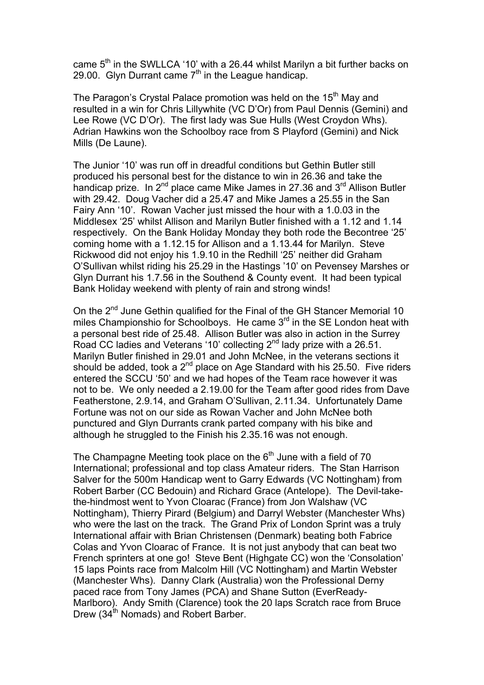came  $5<sup>th</sup>$  in the SWLLCA '10' with a 26.44 whilst Marilyn a bit further backs on 29.00. Glyn Durrant came  $7<sup>th</sup>$  in the League handicap.

The Paragon's Crystal Palace promotion was held on the 15<sup>th</sup> May and resulted in a win for Chris Lillywhite (VC D'Or) from Paul Dennis (Gemini) and Lee Rowe (VC D'Or). The first lady was Sue Hulls (West Croydon Whs). Adrian Hawkins won the Schoolboy race from S Playford (Gemini) and Nick Mills (De Laune).

The Junior '10' was run off in dreadful conditions but Gethin Butler still produced his personal best for the distance to win in 26.36 and take the handicap prize. In  $2^{nd}$  place came Mike James in 27.36 and  $3^{rd}$  Allison Butler with 29.42. Doug Vacher did a 25.47 and Mike James a 25.55 in the San Fairy Ann '10'. Rowan Vacher just missed the hour with a 1.0.03 in the Middlesex '25' whilst Allison and Marilyn Butler finished with a 1.12 and 1.14 respectively. On the Bank Holiday Monday they both rode the Becontree '25' coming home with a 1.12.15 for Allison and a 1.13.44 for Marilyn. Steve Rickwood did not enjoy his 1.9.10 in the Redhill '25' neither did Graham O'Sullivan whilst riding his 25.29 in the Hastings '10' on Pevensey Marshes or Glyn Durrant his 1.7.56 in the Southend & County event. It had been typical Bank Holiday weekend with plenty of rain and strong winds!

On the 2<sup>nd</sup> June Gethin qualified for the Final of the GH Stancer Memorial 10 miles Championshio for Schoolboys. He came  $3<sup>rd</sup>$  in the SE London heat with a personal best ride of 25.48. Allison Butler was also in action in the Surrey Road CC ladies and Veterans '10' collecting  $2^{nd}$  lady prize with a 26.51. Marilyn Butler finished in 29.01 and John McNee, in the veterans sections it should be added, took a  $2^{nd}$  place on Age Standard with his 25.50. Five riders entered the SCCU '50' and we had hopes of the Team race however it was not to be. We only needed a 2.19.00 for the Team after good rides from Dave Featherstone, 2.9.14, and Graham O'Sullivan, 2.11.34. Unfortunately Dame Fortune was not on our side as Rowan Vacher and John McNee both punctured and Glyn Durrants crank parted company with his bike and although he struggled to the Finish his 2.35.16 was not enough.

The Champagne Meeting took place on the  $6<sup>th</sup>$  June with a field of 70 International; professional and top class Amateur riders. The Stan Harrison Salver for the 500m Handicap went to Garry Edwards (VC Nottingham) from Robert Barber (CC Bedouin) and Richard Grace (Antelope). The Devil-takethe-hindmost went to Yvon Cloarac (France) from Jon Walshaw (VC Nottingham), Thierry Pirard (Belgium) and Darryl Webster (Manchester Whs) who were the last on the track. The Grand Prix of London Sprint was a truly International affair with Brian Christensen (Denmark) beating both Fabrice Colas and Yvon Cloarac of France. It is not just anybody that can beat two French sprinters at one go! Steve Bent (Highgate CC) won the 'Consolation' 15 laps Points race from Malcolm Hill (VC Nottingham) and Martin Webster (Manchester Whs). Danny Clark (Australia) won the Professional Derny paced race from Tony James (PCA) and Shane Sutton (EverReady-Marlboro). Andy Smith (Clarence) took the 20 laps Scratch race from Bruce Drew (34<sup>th</sup> Nomads) and Robert Barber.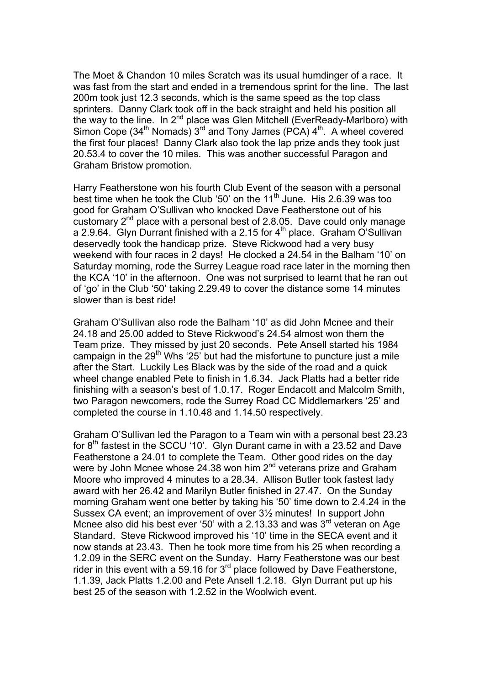The Moet & Chandon 10 miles Scratch was its usual humdinger of a race. It was fast from the start and ended in a tremendous sprint for the line. The last 200m took just 12.3 seconds, which is the same speed as the top class sprinters. Danny Clark took off in the back straight and held his position all the way to the line. In  $2^{nd}$  place was Glen Mitchell (EverReady-Marlboro) with Simon Cope (34<sup>th</sup> Nomads)  $3^{rd}$  and Tony James (PCA)  $4^{th}$ . A wheel covered the first four places! Danny Clark also took the lap prize ands they took just 20.53.4 to cover the 10 miles. This was another successful Paragon and Graham Bristow promotion.

Harry Featherstone won his fourth Club Event of the season with a personal best time when he took the Club '50' on the  $11<sup>th</sup>$  June. His 2.6.39 was too good for Graham O'Sullivan who knocked Dave Featherstone out of his customary  $2^{nd}$  place with a personal best of 2.8.05. Dave could only manage a 2.9.64. Glyn Durrant finished with a 2.15 for 4<sup>th</sup> place. Graham O'Sullivan deservedly took the handicap prize. Steve Rickwood had a very busy weekend with four races in 2 days! He clocked a 24.54 in the Balham '10' on Saturday morning, rode the Surrey League road race later in the morning then the KCA '10' in the afternoon. One was not surprised to learnt that he ran out of 'go' in the Club '50' taking 2.29.49 to cover the distance some 14 minutes slower than is best ride!

Graham O'Sullivan also rode the Balham '10' as did John Mcnee and their 24.18 and 25.00 added to Steve Rickwood's 24.54 almost won them the Team prize. They missed by just 20 seconds. Pete Ansell started his 1984 campaign in the 29<sup>th</sup> Whs '25' but had the misfortune to puncture just a mile after the Start. Luckily Les Black was by the side of the road and a quick wheel change enabled Pete to finish in 1.6.34. Jack Platts had a better ride finishing with a season's best of 1.0.17. Roger Endacott and Malcolm Smith, two Paragon newcomers, rode the Surrey Road CC Middlemarkers '25' and completed the course in 1.10.48 and 1.14.50 respectively.

Graham O'Sullivan led the Paragon to a Team win with a personal best 23.23 for  $8<sup>th</sup>$  fastest in the SCCU '10'. Glyn Durant came in with a 23.52 and Dave Featherstone a 24.01 to complete the Team. Other good rides on the day were by John Mcnee whose 24.38 won him  $2^{nd}$  veterans prize and Graham Moore who improved 4 minutes to a 28.34. Allison Butler took fastest lady award with her 26.42 and Marilyn Butler finished in 27.47. On the Sunday morning Graham went one better by taking his '50' time down to 2.4.24 in the Sussex CA event; an improvement of over 3½ minutes! In support John Mcnee also did his best ever '50' with a 2.13.33 and was  $3<sup>rd</sup>$  veteran on Age Standard. Steve Rickwood improved his '10' time in the SECA event and it now stands at 23.43. Then he took more time from his 25 when recording a 1.2.09 in the SERC event on the Sunday. Harry Featherstone was our best rider in this event with a 59.16 for  $3<sup>rd</sup>$  place followed by Dave Featherstone, 1.1.39, Jack Platts 1.2.00 and Pete Ansell 1.2.18. Glyn Durrant put up his best 25 of the season with 1.2.52 in the Woolwich event.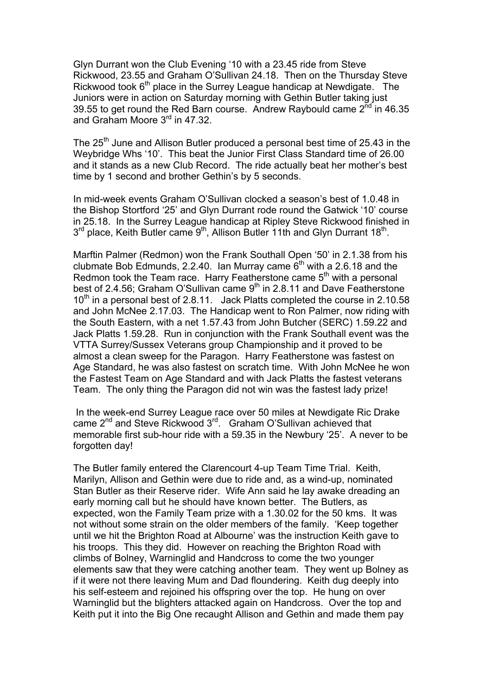Glyn Durrant won the Club Evening '10 with a 23.45 ride from Steve Rickwood, 23.55 and Graham O'Sullivan 24.18. Then on the Thursday Steve Rickwood took  $6<sup>th</sup>$  place in the Surrey League handicap at Newdigate. The Juniors were in action on Saturday morning with Gethin Butler taking just 39.55 to get round the Red Barn course. Andrew Raybould came  $2^{nd}$  in 46.35 and Graham Moore 3<sup>rd</sup> in 47.32.

The 25<sup>th</sup> June and Allison Butler produced a personal best time of 25.43 in the Weybridge Whs '10'. This beat the Junior First Class Standard time of 26.00 and it stands as a new Club Record. The ride actually beat her mother's best time by 1 second and brother Gethin's by 5 seconds.

In mid-week events Graham O'Sullivan clocked a season's best of 1.0.48 in the Bishop Stortford '25' and Glyn Durrant rode round the Gatwick '10' course in 25.18. In the Surrey League handicap at Ripley Steve Rickwood finished in  $3^{rd}$  place, Keith Butler came  $9^{th}$ , Allison Butler 11th and Glyn Durrant 18<sup>th</sup>.

Marftin Palmer (Redmon) won the Frank Southall Open '50' in 2.1.38 from his clubmate Bob Edmunds, 2.2.40. Ian Murray came  $6<sup>th</sup>$  with a 2.6.18 and the Redmon took the Team race. Harry Featherstone came 5<sup>th</sup> with a personal best of 2.4.56; Graham O'Sullivan came  $9<sup>th</sup>$  in 2.8.11 and Dave Featherstone  $10^{th}$  in a personal best of 2.8.11. Jack Platts completed the course in 2.10.58 and John McNee 2.17.03. The Handicap went to Ron Palmer, now riding with the South Eastern, with a net 1.57.43 from John Butcher (SERC) 1.59.22 and Jack Platts 1.59.28. Run in conjunction with the Frank Southall event was the VTTA Surrey/Sussex Veterans group Championship and it proved to be almost a clean sweep for the Paragon. Harry Featherstone was fastest on Age Standard, he was also fastest on scratch time. With John McNee he won the Fastest Team on Age Standard and with Jack Platts the fastest veterans Team. The only thing the Paragon did not win was the fastest lady prize!

 In the week-end Surrey League race over 50 miles at Newdigate Ric Drake came 2<sup>nd</sup> and Steve Rickwood 3<sup>rd</sup>. Graham O'Sullivan achieved that memorable first sub-hour ride with a 59.35 in the Newbury '25'. A never to be forgotten day!

The Butler family entered the Clarencourt 4-up Team Time Trial. Keith, Marilyn, Allison and Gethin were due to ride and, as a wind-up, nominated Stan Butler as their Reserve rider. Wife Ann said he lay awake dreading an early morning call but he should have known better. The Butlers, as expected, won the Family Team prize with a 1.30.02 for the 50 kms. It was not without some strain on the older members of the family. 'Keep together until we hit the Brighton Road at Albourne' was the instruction Keith gave to his troops. This they did. However on reaching the Brighton Road with climbs of Bolney, Warninglid and Handcross to come the two younger elements saw that they were catching another team. They went up Bolney as if it were not there leaving Mum and Dad floundering. Keith dug deeply into his self-esteem and rejoined his offspring over the top. He hung on over Warninglid but the blighters attacked again on Handcross. Over the top and Keith put it into the Big One recaught Allison and Gethin and made them pay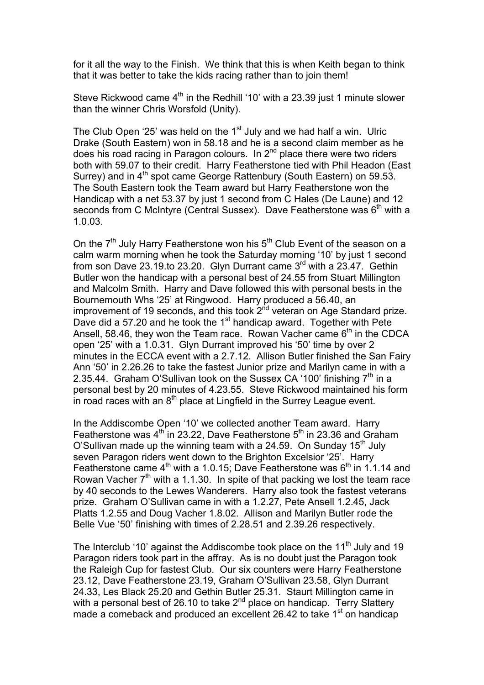for it all the way to the Finish. We think that this is when Keith began to think that it was better to take the kids racing rather than to join them!

Steve Rickwood came  $4<sup>th</sup>$  in the Redhill '10' with a 23.39 just 1 minute slower than the winner Chris Worsfold (Unity).

The Club Open '25' was held on the  $1<sup>st</sup>$  July and we had half a win. Ulric Drake (South Eastern) won in 58.18 and he is a second claim member as he does his road racing in Paragon colours. In 2<sup>nd</sup> place there were two riders both with 59.07 to their credit. Harry Featherstone tied with Phil Headon (East Surrey) and in  $4<sup>th</sup>$  spot came George Rattenbury (South Eastern) on 59.53. The South Eastern took the Team award but Harry Featherstone won the Handicap with a net 53.37 by just 1 second from C Hales (De Laune) and 12 seconds from C McIntyre (Central Sussex). Dave Featherstone was  $6<sup>th</sup>$  with a 1.0.03.

On the  $7<sup>th</sup>$  July Harry Featherstone won his  $5<sup>th</sup>$  Club Event of the season on a calm warm morning when he took the Saturday morning '10' by just 1 second from son Dave 23.19.to 23.20. Glyn Durrant came 3rd with a 23.47. Gethin Butler won the handicap with a personal best of 24.55 from Stuart Millington and Malcolm Smith. Harry and Dave followed this with personal bests in the Bournemouth Whs '25' at Ringwood. Harry produced a 56.40, an improvement of 19 seconds, and this took  $2<sup>nd</sup>$  veteran on Age Standard prize. Dave did a 57.20 and he took the 1<sup>st</sup> handicap award. Together with Pete Ansell, 58.46, they won the Team race. Rowan Vacher came  $6<sup>th</sup>$  in the CDCA open '25' with a 1.0.31. Glyn Durrant improved his '50' time by over 2 minutes in the ECCA event with a 2.7.12. Allison Butler finished the San Fairy Ann '50' in 2.26.26 to take the fastest Junior prize and Marilyn came in with a 2.35.44. Graham O'Sullivan took on the Sussex CA '100' finishing  $7<sup>th</sup>$  in a personal best by 20 minutes of 4.23.55. Steve Rickwood maintained his form in road races with an  $8<sup>th</sup>$  place at Lingfield in the Surrey League event.

In the Addiscombe Open '10' we collected another Team award. Harry Featherstone was  $4<sup>th</sup>$  in 23.22, Dave Featherstone  $5<sup>th</sup>$  in 23.36 and Graham O'Sullivan made up the winning team with a 24.59. On Sunday  $15<sup>th</sup>$  July seven Paragon riders went down to the Brighton Excelsior '25'. Harry Featherstone came 4<sup>th</sup> with a 1.0.15; Dave Featherstone was 6<sup>th</sup> in 1.1.14 and Rowan Vacher  $7<sup>th</sup>$  with a 1.1.30. In spite of that packing we lost the team race by 40 seconds to the Lewes Wanderers. Harry also took the fastest veterans prize. Graham O'Sullivan came in with a 1.2.27, Pete Ansell 1.2.45, Jack Platts 1.2.55 and Doug Vacher 1.8.02. Allison and Marilyn Butler rode the Belle Vue '50' finishing with times of 2.28.51 and 2.39.26 respectively.

The Interclub '10' against the Addiscombe took place on the  $11<sup>th</sup>$  July and 19 Paragon riders took part in the affray. As is no doubt just the Paragon took the Raleigh Cup for fastest Club. Our six counters were Harry Featherstone 23.12, Dave Featherstone 23.19, Graham O'Sullivan 23.58, Glyn Durrant 24.33, Les Black 25.20 and Gethin Butler 25.31. Staurt Millington came in with a personal best of 26.10 to take 2<sup>nd</sup> place on handicap. Terry Slattery made a comeback and produced an excellent 26.42 to take  $1<sup>st</sup>$  on handicap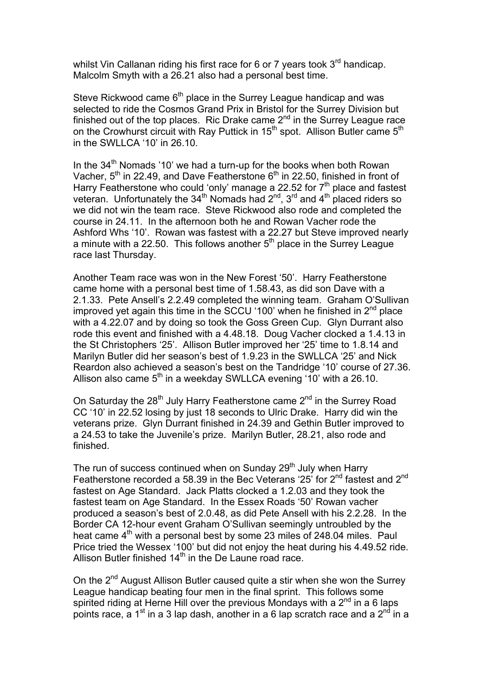whilst Vin Callanan riding his first race for 6 or 7 years took  $3<sup>rd</sup>$  handicap. Malcolm Smyth with a 26.21 also had a personal best time.

Steve Rickwood came  $6<sup>th</sup>$  place in the Surrey League handicap and was selected to ride the Cosmos Grand Prix in Bristol for the Surrey Division but finished out of the top places. Ric Drake came  $2<sup>nd</sup>$  in the Surrey League race on the Crowhurst circuit with Ray Puttick in 15<sup>th</sup> spot. Allison Butler came 5<sup>th</sup> in the SWLLCA '10' in 26.10.

In the  $34<sup>th</sup>$  Nomads '10' we had a turn-up for the books when both Rowan Vacher,  $5<sup>th</sup>$  in 22.49, and Dave Featherstone  $6<sup>th</sup>$  in 22.50, finished in front of Harry Featherstone who could 'only' manage a 22.52 for  $7<sup>th</sup>$  place and fastest veteran. Unfortunately the 34<sup>th</sup> Nomads had  $2^{nd}$ , 3<sup>rd</sup> and 4<sup>th</sup> placed riders so we did not win the team race. Steve Rickwood also rode and completed the course in 24.11. In the afternoon both he and Rowan Vacher rode the Ashford Whs '10'. Rowan was fastest with a 22.27 but Steve improved nearly a minute with a 22.50. This follows another  $5<sup>th</sup>$  place in the Surrey League race last Thursday.

Another Team race was won in the New Forest '50'. Harry Featherstone came home with a personal best time of 1.58.43, as did son Dave with a 2.1.33. Pete Ansell's 2.2.49 completed the winning team. Graham O'Sullivan improved yet again this time in the SCCU '100' when he finished in  $2<sup>nd</sup>$  place with a 4.22.07 and by doing so took the Goss Green Cup. Glyn Durrant also rode this event and finished with a 4.48.18. Doug Vacher clocked a 1.4.13 in the St Christophers '25'. Allison Butler improved her '25' time to 1.8.14 and Marilyn Butler did her season's best of 1.9.23 in the SWLLCA '25' and Nick Reardon also achieved a season's best on the Tandridge '10' course of 27.36. Allison also came  $5<sup>th</sup>$  in a weekday SWLLCA evening '10' with a 26.10.

On Saturday the  $28<sup>th</sup>$  July Harry Featherstone came  $2<sup>nd</sup>$  in the Surrey Road CC '10' in 22.52 losing by just 18 seconds to Ulric Drake. Harry did win the veterans prize. Glyn Durrant finished in 24.39 and Gethin Butler improved to a 24.53 to take the Juvenile's prize. Marilyn Butler, 28.21, also rode and finished.

The run of success continued when on Sunday  $29<sup>th</sup>$  July when Harry Featherstone recorded a 58.39 in the Bec Veterans '25' for  $2^{nd}$  fastest and  $2^{nd}$ fastest on Age Standard. Jack Platts clocked a 1.2.03 and they took the fastest team on Age Standard. In the Essex Roads '50' Rowan vacher produced a season's best of 2.0.48, as did Pete Ansell with his 2.2.28. In the Border CA 12-hour event Graham O'Sullivan seemingly untroubled by the heat came  $4<sup>th</sup>$  with a personal best by some 23 miles of 248.04 miles. Paul Price tried the Wessex '100' but did not enjoy the heat during his 4.49.52 ride. Allison Butler finished 14<sup>th</sup> in the De Laune road race.

On the 2<sup>nd</sup> August Allison Butler caused quite a stir when she won the Surrey League handicap beating four men in the final sprint. This follows some spirited riding at Herne Hill over the previous Mondays with a  $2^{nd}$  in a 6 laps points race, a 1<sup>st</sup> in a 3 lap dash, another in a 6 lap scratch race and a 2<sup>nd</sup> in a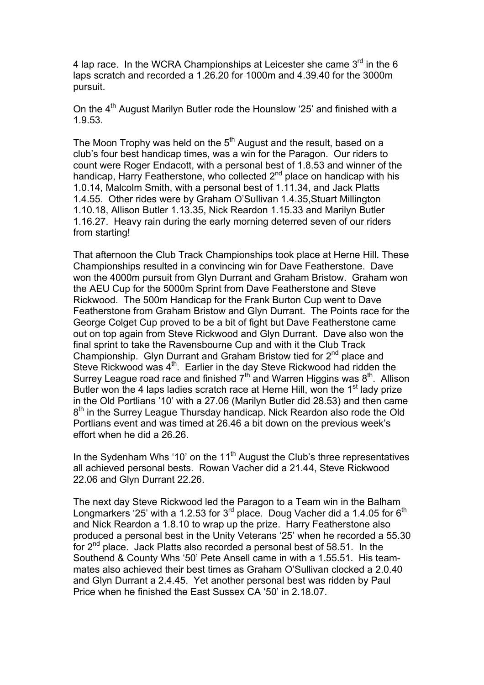4 lap race. In the WCRA Championships at Leicester she came  $3<sup>rd</sup>$  in the 6 laps scratch and recorded a 1.26.20 for 1000m and 4.39.40 for the 3000m pursuit.

On the 4<sup>th</sup> August Marilyn Butler rode the Hounslow '25' and finished with a 1.9.53.

The Moon Trophy was held on the  $5<sup>th</sup>$  August and the result, based on a club's four best handicap times, was a win for the Paragon. Our riders to count were Roger Endacott, with a personal best of 1.8.53 and winner of the handicap, Harry Featherstone, who collected 2<sup>nd</sup> place on handicap with his 1.0.14, Malcolm Smith, with a personal best of 1.11.34, and Jack Platts 1.4.55. Other rides were by Graham O'Sullivan 1.4.35,Stuart Millington 1.10.18, Allison Butler 1.13.35, Nick Reardon 1.15.33 and Marilyn Butler 1.16.27. Heavy rain during the early morning deterred seven of our riders from starting!

That afternoon the Club Track Championships took place at Herne Hill. These Championships resulted in a convincing win for Dave Featherstone. Dave won the 4000m pursuit from Glyn Durrant and Graham Bristow. Graham won the AEU Cup for the 5000m Sprint from Dave Featherstone and Steve Rickwood. The 500m Handicap for the Frank Burton Cup went to Dave Featherstone from Graham Bristow and Glyn Durrant. The Points race for the George Colget Cup proved to be a bit of fight but Dave Featherstone came out on top again from Steve Rickwood and Glyn Durrant. Dave also won the final sprint to take the Ravensbourne Cup and with it the Club Track Championship. Glyn Durrant and Graham Bristow tied for  $2^{nd}$  place and Steve Rickwood was 4<sup>th</sup>. Earlier in the day Steve Rickwood had ridden the Surrey League road race and finished  $7<sup>th</sup>$  and Warren Higgins was  $8<sup>th</sup>$ . Allison Butler won the 4 laps ladies scratch race at Herne Hill, won the  $1<sup>st</sup>$  lady prize in the Old Portlians '10' with a 27.06 (Marilyn Butler did 28.53) and then came 8<sup>th</sup> in the Surrey League Thursday handicap. Nick Reardon also rode the Old Portlians event and was timed at 26.46 a bit down on the previous week's effort when he did a 26.26.

In the Sydenham Whs '10' on the  $11<sup>th</sup>$  August the Club's three representatives all achieved personal bests. Rowan Vacher did a 21.44, Steve Rickwood 22.06 and Glyn Durrant 22.26.

The next day Steve Rickwood led the Paragon to a Team win in the Balham Longmarkers '25' with a 1.2.53 for  $3^{rd}$  place. Doug Vacher did a 1.4.05 for  $6^{th}$ and Nick Reardon a 1.8.10 to wrap up the prize. Harry Featherstone also produced a personal best in the Unity Veterans '25' when he recorded a 55.30 for  $2^{nd}$  place. Jack Platts also recorded a personal best of 58.51. In the Southend & County Whs '50' Pete Ansell came in with a 1.55.51. His teammates also achieved their best times as Graham O'Sullivan clocked a 2.0.40 and Glyn Durrant a 2.4.45. Yet another personal best was ridden by Paul Price when he finished the East Sussex CA '50' in 2.18.07.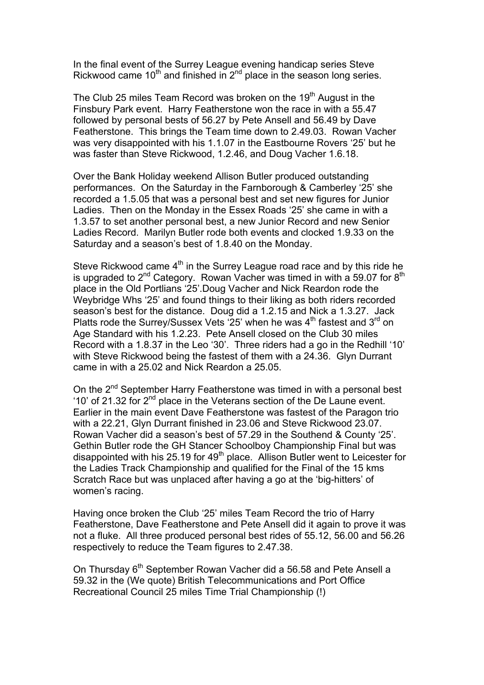In the final event of the Surrey League evening handicap series Steve Rickwood came 10<sup>th</sup> and finished in  $2<sup>nd</sup>$  place in the season long series.

The Club 25 miles Team Record was broken on the 19<sup>th</sup> August in the Finsbury Park event. Harry Featherstone won the race in with a 55.47 followed by personal bests of 56.27 by Pete Ansell and 56.49 by Dave Featherstone. This brings the Team time down to 2.49.03. Rowan Vacher was very disappointed with his 1.1.07 in the Eastbourne Rovers '25' but he was faster than Steve Rickwood, 1.2.46, and Doug Vacher 1.6.18.

Over the Bank Holiday weekend Allison Butler produced outstanding performances. On the Saturday in the Farnborough & Camberley '25' she recorded a 1.5.05 that was a personal best and set new figures for Junior Ladies. Then on the Monday in the Essex Roads '25' she came in with a 1.3.57 to set another personal best, a new Junior Record and new Senior Ladies Record. Marilyn Butler rode both events and clocked 1.9.33 on the Saturday and a season's best of 1.8.40 on the Monday.

Steve Rickwood came  $4<sup>th</sup>$  in the Surrey League road race and by this ride he is upgraded to  $2^{nd}$  Category. Rowan Vacher was timed in with a 59.07 for  $8^{th}$ place in the Old Portlians '25'.Doug Vacher and Nick Reardon rode the Weybridge Whs '25' and found things to their liking as both riders recorded season's best for the distance. Doug did a 1.2.15 and Nick a 1.3.27. Jack Platts rode the Surrey/Sussex Vets  $25'$  when he was  $4<sup>th</sup>$  fastest and  $3<sup>rd</sup>$  on Age Standard with his 1.2.23. Pete Ansell closed on the Club 30 miles Record with a 1.8.37 in the Leo '30'. Three riders had a go in the Redhill '10' with Steve Rickwood being the fastest of them with a 24.36. Glyn Durrant came in with a 25.02 and Nick Reardon a 25.05.

On the 2<sup>nd</sup> September Harry Featherstone was timed in with a personal best '10' of 21.32 for 2<sup>nd</sup> place in the Veterans section of the De Laune event. Earlier in the main event Dave Featherstone was fastest of the Paragon trio with a 22.21, Glyn Durrant finished in 23.06 and Steve Rickwood 23.07. Rowan Vacher did a season's best of 57.29 in the Southend & County '25'. Gethin Butler rode the GH Stancer Schoolboy Championship Final but was disappointed with his 25.19 for 49<sup>th</sup> place. Allison Butler went to Leicester for the Ladies Track Championship and qualified for the Final of the 15 kms Scratch Race but was unplaced after having a go at the 'big-hitters' of women's racing.

Having once broken the Club '25' miles Team Record the trio of Harry Featherstone, Dave Featherstone and Pete Ansell did it again to prove it was not a fluke. All three produced personal best rides of 55.12, 56.00 and 56.26 respectively to reduce the Team figures to 2.47.38.

On Thursday 6<sup>th</sup> September Rowan Vacher did a 56.58 and Pete Ansell a 59.32 in the (We quote) British Telecommunications and Port Office Recreational Council 25 miles Time Trial Championship (!)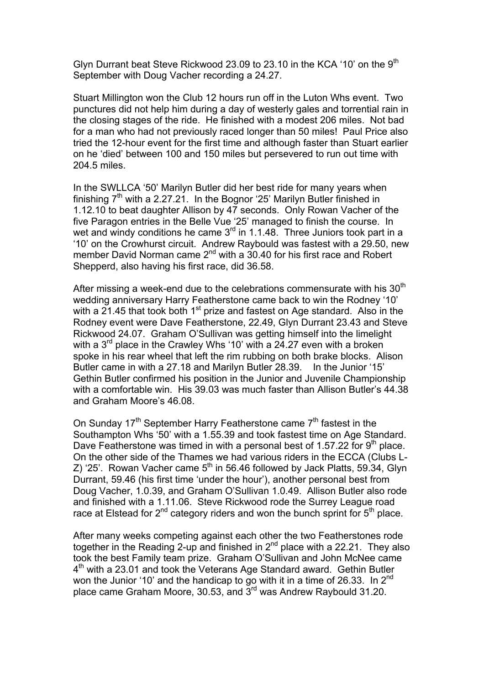Glyn Durrant beat Steve Rickwood 23.09 to 23.10 in the KCA '10' on the  $9<sup>th</sup>$ September with Doug Vacher recording a 24.27.

Stuart Millington won the Club 12 hours run off in the Luton Whs event. Two punctures did not help him during a day of westerly gales and torrential rain in the closing stages of the ride. He finished with a modest 206 miles. Not bad for a man who had not previously raced longer than 50 miles! Paul Price also tried the 12-hour event for the first time and although faster than Stuart earlier on he 'died' between 100 and 150 miles but persevered to run out time with 204.5 miles.

In the SWLLCA '50' Marilyn Butler did her best ride for many years when finishing  $7<sup>th</sup>$  with a 2.27.21. In the Bognor '25' Marilyn Butler finished in 1.12.10 to beat daughter Allison by 47 seconds. Only Rowan Vacher of the five Paragon entries in the Belle Vue '25' managed to finish the course. In wet and windy conditions he came 3<sup>rd</sup> in 1.1.48. Three Juniors took part in a '10' on the Crowhurst circuit. Andrew Raybould was fastest with a 29.50, new member David Norman came 2<sup>nd</sup> with a 30.40 for his first race and Robert Shepperd, also having his first race, did 36.58.

After missing a week-end due to the celebrations commensurate with his  $30<sup>th</sup>$ wedding anniversary Harry Featherstone came back to win the Rodney '10' with a  $21.45$  that took both 1<sup>st</sup> prize and fastest on Age standard. Also in the Rodney event were Dave Featherstone, 22.49, Glyn Durrant 23.43 and Steve Rickwood 24.07. Graham O'Sullivan was getting himself into the limelight with a 3<sup>rd</sup> place in the Crawley Whs '10' with a 24.27 even with a broken spoke in his rear wheel that left the rim rubbing on both brake blocks. Alison Butler came in with a 27.18 and Marilyn Butler 28.39. In the Junior '15' Gethin Butler confirmed his position in the Junior and Juvenile Championship with a comfortable win. His 39.03 was much faster than Allison Butler's 44.38 and Graham Moore's 46.08.

On Sunday 17<sup>th</sup> September Harry Featherstone came  $7<sup>th</sup>$  fastest in the Southampton Whs '50' with a 1.55.39 and took fastest time on Age Standard. Dave Featherstone was timed in with a personal best of 1.57.22 for  $9<sup>th</sup>$  place. On the other side of the Thames we had various riders in the ECCA (Clubs L-Z) '25'. Rowan Vacher came  $5<sup>th</sup>$  in 56.46 followed by Jack Platts, 59.34, Glyn Durrant, 59.46 (his first time 'under the hour'), another personal best from Doug Vacher, 1.0.39, and Graham O'Sullivan 1.0.49. Allison Butler also rode and finished with a 1.11.06. Steve Rickwood rode the Surrey League road race at Elstead for  $2^{nd}$  category riders and won the bunch sprint for  $5^{th}$  place.

After many weeks competing against each other the two Featherstones rode together in the Reading 2-up and finished in  $2^{nd}$  place with a 22.21. They also took the best Family team prize. Graham O'Sullivan and John McNee came 4<sup>th</sup> with a 23.01 and took the Veterans Age Standard award. Gethin Butler won the Junior '10' and the handicap to go with it in a time of 26.33. In 2<sup>nd</sup> place came Graham Moore, 30.53, and  $3<sup>rd</sup>$  was Andrew Raybould 31.20.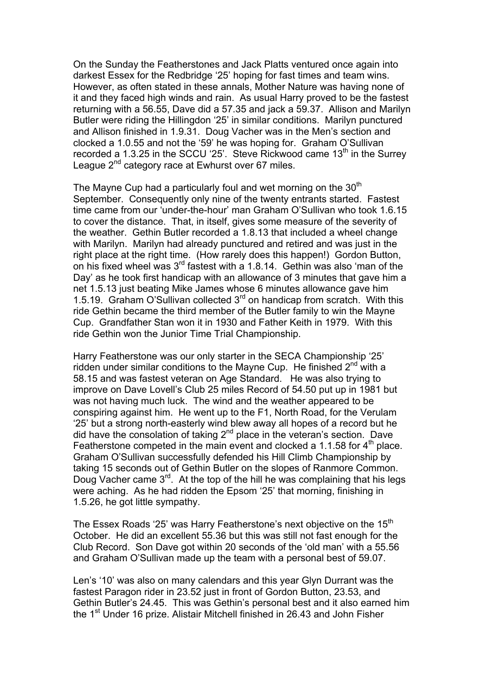On the Sunday the Featherstones and Jack Platts ventured once again into darkest Essex for the Redbridge '25' hoping for fast times and team wins. However, as often stated in these annals, Mother Nature was having none of it and they faced high winds and rain. As usual Harry proved to be the fastest returning with a 56.55, Dave did a 57.35 and jack a 59.37. Allison and Marilyn Butler were riding the Hillingdon '25' in similar conditions. Marilyn punctured and Allison finished in 1.9.31. Doug Vacher was in the Men's section and clocked a 1.0.55 and not the '59' he was hoping for. Graham O'Sullivan recorded a 1.3.25 in the SCCU '25'. Steve Rickwood came  $13<sup>th</sup>$  in the Surrey League 2<sup>nd</sup> category race at Ewhurst over 67 miles.

The Mayne Cup had a particularly foul and wet morning on the  $30<sup>th</sup>$ September. Consequently only nine of the twenty entrants started. Fastest time came from our 'under-the-hour' man Graham O'Sullivan who took 1.6.15 to cover the distance. That, in itself, gives some measure of the severity of the weather. Gethin Butler recorded a 1.8.13 that included a wheel change with Marilyn. Marilyn had already punctured and retired and was just in the right place at the right time. (How rarely does this happen!) Gordon Button, on his fixed wheel was 3rd fastest with a 1.8.14. Gethin was also 'man of the Day' as he took first handicap with an allowance of 3 minutes that gave him a net 1.5.13 just beating Mike James whose 6 minutes allowance gave him 1.5.19. Graham O'Sullivan collected 3rd on handicap from scratch. With this ride Gethin became the third member of the Butler family to win the Mayne Cup. Grandfather Stan won it in 1930 and Father Keith in 1979. With this ride Gethin won the Junior Time Trial Championship.

Harry Featherstone was our only starter in the SECA Championship '25' ridden under similar conditions to the Mayne Cup. He finished  $2^{nd}$  with a 58.15 and was fastest veteran on Age Standard. He was also trying to improve on Dave Lovell's Club 25 miles Record of 54.50 put up in 1981 but was not having much luck. The wind and the weather appeared to be conspiring against him. He went up to the F1, North Road, for the Verulam '25' but a strong north-easterly wind blew away all hopes of a record but he did have the consolation of taking  $2<sup>nd</sup>$  place in the veteran's section. Dave Featherstone competed in the main event and clocked a 1.1.58 for  $4<sup>th</sup>$  place. Graham O'Sullivan successfully defended his Hill Climb Championship by taking 15 seconds out of Gethin Butler on the slopes of Ranmore Common. Doug Vacher came  $3<sup>rd</sup>$ . At the top of the hill he was complaining that his legs were aching. As he had ridden the Epsom '25' that morning, finishing in 1.5.26, he got little sympathy.

The Essex Roads '25' was Harry Featherstone's next objective on the 15<sup>th</sup> October. He did an excellent 55.36 but this was still not fast enough for the Club Record. Son Dave got within 20 seconds of the 'old man' with a 55.56 and Graham O'Sullivan made up the team with a personal best of 59.07.

Len's '10' was also on many calendars and this year Glyn Durrant was the fastest Paragon rider in 23.52 just in front of Gordon Button, 23.53, and Gethin Butler's 24.45. This was Gethin's personal best and it also earned him the 1<sup>st</sup> Under 16 prize. Alistair Mitchell finished in 26.43 and John Fisher